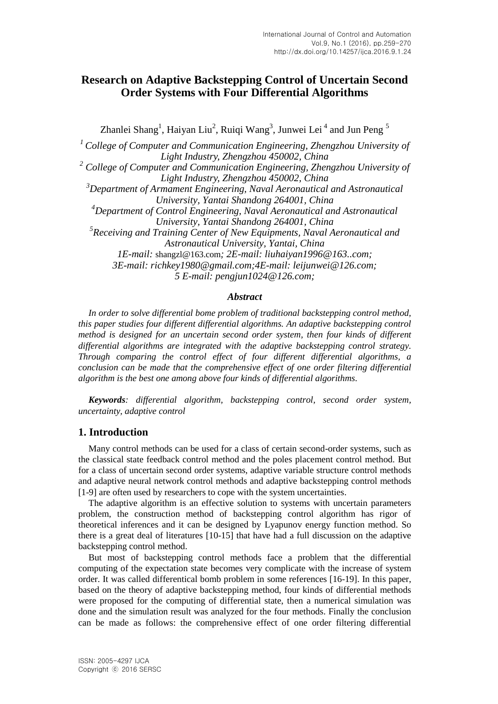# **Research on Adaptive Backstepping Control of Uncertain Second Order Systems with Four Differential Algorithms**

Zhanlei Shang<sup>1</sup>, Haiyan Liu<sup>2</sup>, Ruiqi Wang<sup>3</sup>, Junwei Lei<sup>4</sup> and Jun Peng<sup>5</sup>

*<sup>1</sup> College of Computer and Communication Engineering, Zhengzhou University of Light Industry, Zhengzhou 450002, China <sup>2</sup> College of Computer and Communication Engineering, Zhengzhou University of Light Industry, Zhengzhou 450002, China <sup>3</sup>Department of Armament Engineering, Naval Aeronautical and Astronautical University, Yantai Shandong 264001, China <sup>4</sup>Department of Control Engineering, Naval Aeronautical and Astronautical University, Yantai Shandong 264001, China 5 Receiving and Training Center of New Equipments, Naval Aeronautical and Astronautical University, Yantai, China 1E-mail:* [shangzl@163.com](mailto:shangzl@163.com)*; 2E-mail: liuhaiyan1996@163..com; 3E-mail: richkey1980@gmail.com;4E-mail: [leijunwei@126.com;](mailto:leijunwei@126.com) 5 E-mail: [pengjun1024@126.com;](mailto:pengjun1024@126.com)*

#### *Abstract*

*In order to solve differential bome problem of traditional backstepping control method, this paper studies four different differential algorithms. An adaptive backstepping control method is designed for an uncertain second order system, then four kinds of different differential algorithms are integrated with the adaptive backstepping control strategy. Through comparing the control effect of four different differential algorithms, a conclusion can be made that the comprehensive effect of one order filtering differential algorithm is the best one among above four kinds of differential algorithms.*

*Keywords: differential algorithm, backstepping control, second order system, uncertainty, adaptive control*

## **1. Introduction**

Many control methods can be used for a class of certain second-order systems, such as the classical state feedback control method and the poles placement control method. But for a class of uncertain second order systems, adaptive variable structure control methods and adaptive neural network control methods and adaptive backstepping control methods [1-9] are often used by researchers to cope with the system uncertainties.

The adaptive algorithm is an effective solution to systems with uncertain parameters problem, the construction method of backstepping control algorithm has rigor of theoretical inferences and it can be designed by Lyapunov energy function method. So there is a great deal of literatures [10-15] that have had a full discussion on the adaptive backstepping control method.

But most of backstepping control methods face a problem that the differential computing of the expectation state becomes very complicate with the increase of system order. It was called differentical bomb problem in some references [16-19]. In this paper, based on the theory of adaptive backstepping method, four kinds of differential methods were proposed for the computing of differential state, then a numerical simulation was done and the simulation result was analyzed for the four methods. Finally the conclusion can be made as follows: the comprehensive effect of one order filtering differential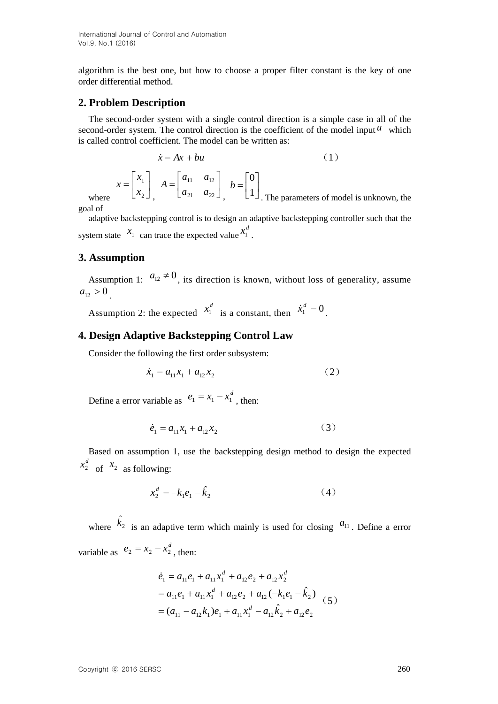algorithm is the best one, but how to choose a proper filter constant is the key of one order differential method.

#### **2. Problem Description**

The second-order system with a single control direction is a simple case in all of the second-order system. The control direction is the coefficient of the model input  $^{\mu}$  which is called control coefficient. The model can be written as:

$$
\dot{x} = Ax + bu
$$
\n
$$
x = \begin{bmatrix} x_1 \\ x_2 \end{bmatrix}, \quad A = \begin{bmatrix} a_{11} & a_{12} \\ a_{21} & a_{22} \end{bmatrix}, \quad b = \begin{bmatrix} 0 \\ 1 \end{bmatrix}
$$
\nThe parameters of model is unknown, the

goal of

where

adaptive backstepping control is to design an adaptive backstepping controller such that the system state  $\begin{bmatrix} x_1 \\ x_2 \end{bmatrix}$  can trace the expected value  $\begin{bmatrix} x_1^d \\ x_2^d \end{bmatrix}$ .

#### **3. Assumption**

Assumption 1:  $a_{12} \neq 0$ , its direction is known, without loss of generality, assume  $a_{12} > 0$ .

Assumption 2: the expected  $x_1^d$  is a constant, then  $\dot{x}_1^d = 0$ .

### **4. Design Adaptive Backstepping Control Law**

Consider the following the first order subsystem:

$$
\dot{x}_1 = a_{11}x_1 + a_{12}x_2 \tag{2}
$$

Define a error variable as  $e_1 = x_1 - x_1^d$ , then:

$$
\dot{e}_1 = a_{11}x_1 + a_{12}x_2 \tag{3}
$$

Based on assumption 1, use the backstepping design method to design the expected  $x_2^d$  of  $x_2$  as following:

$$
x_2^d = -k_1 e_1 - \hat{k}_2 \tag{4}
$$

where  $\hat{k}_2$  is an adaptive term which mainly is used for closing  $a_{11}$ . Define a error variable as  $e_2 = x_2 - x_2^d$ , then:

$$
\dot{e}_1 = a_{11}e_1 + a_{11}x_1^d + a_{12}e_2 + a_{12}x_2^d
$$
  
=  $a_{11}e_1 + a_{11}x_1^d + a_{12}e_2 + a_{12}(-k_1e_1 - \hat{k}_2)$   
=  $(a_{11} - a_{12}k_1)e_1 + a_{11}x_1^d - a_{12}\hat{k}_2 + a_{12}e_2$  (5)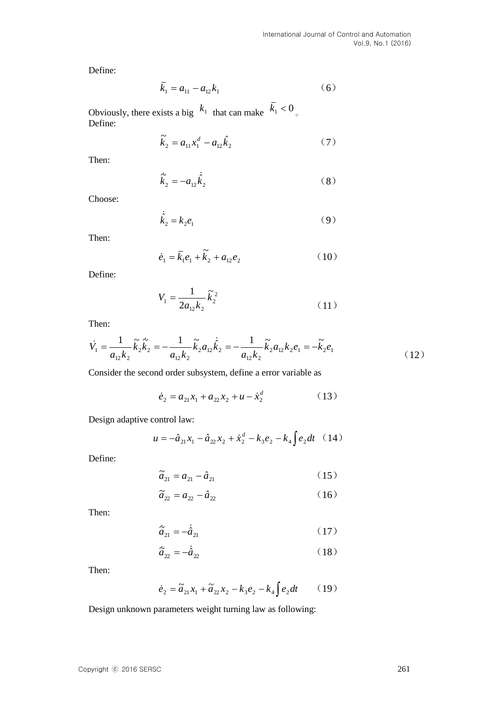Define:

$$
\bar{k}_1 = a_{11} - a_{12}k_1 \tag{6}
$$

Obviously, there exists a big  $k_1$  that can make  $k_1 < 0$ Define:

$$
\tilde{k}_2 = a_{11} x_1^d - a_{12} \hat{k}_2 \tag{7}
$$

Then:

$$
\dot{\vec{k}}_2 = -a_{12}\dot{\vec{k}}_2
$$
 (8)

Choose:

$$
\dot{\hat{k}}_2 = k_2 e_1 \tag{9}
$$

Then:

$$
\dot{e}_1 = \bar{k}_1 e_1 + \tilde{k}_2 + a_{12} e_2 \tag{10}
$$

Define:

$$
V_1 = \frac{1}{2a_{12}k_2} \tilde{k}_2^2
$$
 (11)

Then:

$$
\dot{V}_1 = \frac{1}{a_{12}k_2} \tilde{k}_2 \dot{\tilde{k}}_2 = -\frac{1}{a_{12}k_2} \tilde{k}_2 a_{12} \dot{\tilde{k}}_2 = -\frac{1}{a_{12}k_2} \tilde{k}_2 a_{12}k_2 e_1 = -\tilde{k}_2 e_1
$$
\n(12)

Consider the second order subsystem, define a error variable as

$$
\dot{e}_2 = a_{21}x_1 + a_{22}x_2 + u - \dot{x}_2^d \tag{13}
$$

Design adaptive control law:

$$
u = -\hat{a}_{21}x_1 - \hat{a}_{22}x_2 + \dot{x}_2^d - k_3e_2 - k_4 \int e_2 dt \quad (14)
$$

Define:

$$
\tilde{a}_{21} = a_{21} - \hat{a}_{21} \tag{15}
$$

$$
\tilde{a}_{22} = a_{22} - \hat{a}_{22} \tag{16}
$$

Then:

$$
\dot{\tilde{a}}_{21} = -\dot{\tilde{a}}_{21} \tag{17}
$$

$$
\dot{\tilde{a}}_{22} = -\dot{\tilde{a}}_{22} \tag{18}
$$

Then:

$$
\dot{e}_2 = \tilde{a}_{21}x_1 + \tilde{a}_{22}x_2 - k_3 e_2 - k_4 \int e_2 dt \qquad (19)
$$

Design unknown parameters weight turning law as following: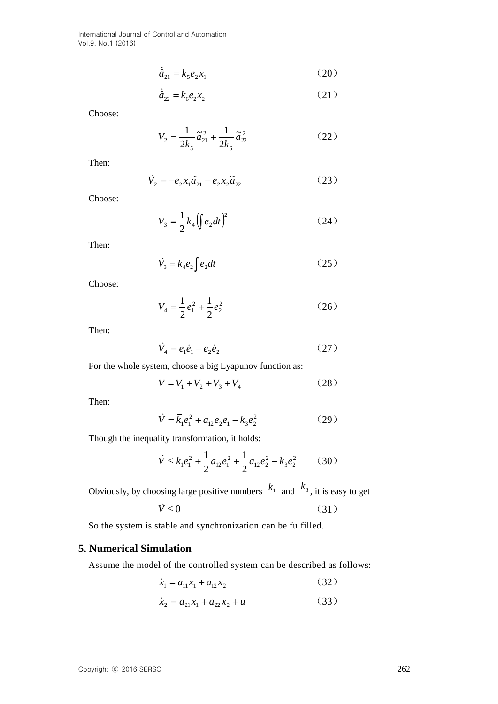International Journal of Control and Automation Vol.9, No.1 (2016)

 $\ddot{\phantom{a}}$ 

$$
\hat{a}_{21} = k_5 e_2 x_1 \tag{20}
$$

$$
\dot{\hat{a}}_{22} = k_6 e_2 x_2 \tag{21}
$$

Choose:

$$
V_2 = \frac{1}{2k_5}\tilde{a}_{21}^2 + \frac{1}{2k_6}\tilde{a}_{22}^2
$$
 (22)

Then:

$$
\dot{V}_2 = -e_2 x_1 \tilde{a}_{21} - e_2 x_2 \tilde{a}_{22} \tag{23}
$$

Choose:

$$
V_3 = \frac{1}{2} k_4 \left( \int e_2 dt \right)^2 \tag{24}
$$

Then:

$$
\dot{V}_3 = k_4 e_2 \int e_2 dt \tag{25}
$$

Choose:

$$
V_4 = \frac{1}{2}e_1^2 + \frac{1}{2}e_2^2\tag{26}
$$

Then:

$$
\dot{V}_4 = e_1 \dot{e}_1 + e_2 \dot{e}_2 \tag{27}
$$

For the whole system, choose a big Lyapunov function as:

$$
V = V_1 + V_2 + V_3 + V_4 \tag{28}
$$

Then:

$$
\dot{V} = \bar{k}_1 e_1^2 + a_{12} e_2 e_1 - k_3 e_2^2 \tag{29}
$$

Though the inequality transformation, it holds:

$$
\dot{V} \le \bar{k}_1 e_1^2 + \frac{1}{2} a_{12} e_1^2 + \frac{1}{2} a_{12} e_2^2 - k_3 e_2^2 \qquad (30)
$$

Obviously, by choosing large positive numbers  $k_1$  and  $k_3$ , it is easy to get

$$
\dot{V} \le 0 \tag{31}
$$

So the system is stable and synchronization can be fulfilled.

# **5. Numerical Simulation**

Assume the model of the controlled system can be described as follows:

$$
\dot{x}_1 = a_{11}x_1 + a_{12}x_2 \tag{32}
$$

$$
\dot{x}_2 = a_{21}x_1 + a_{22}x_2 + u \tag{33}
$$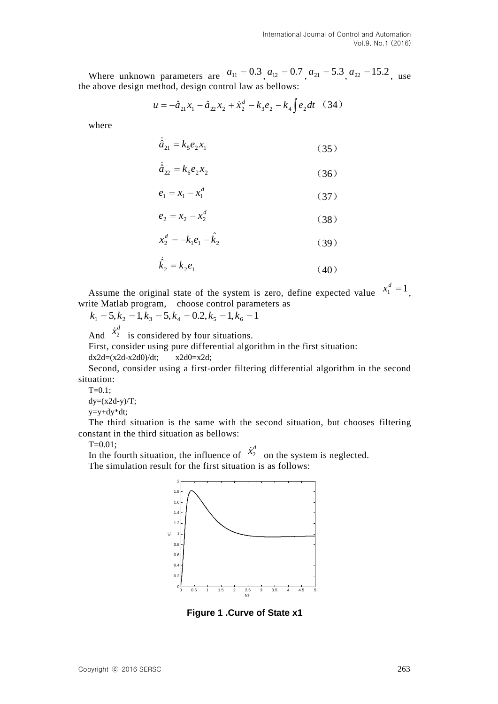Where unknown parameters are  $a_{11} = 0.3$ ,  $a_{12} = 0.7$ ,  $a_{21} = 5.3$ ,  $a_{22} = 15.2$ , use the above design method, design control law as bellows:

$$
u = -\hat{a}_{21}x_1 - \hat{a}_{22}x_2 + \dot{x}_2^d - k_3e_2 - k_4 \int e_2 dt \quad (34)
$$

where

$$
\dot{\hat{a}}_{21} = k_5 e_2 x_1 \tag{35}
$$

$$
\dot{\hat{a}}_{22} = k_6 e_2 x_2 \tag{36}
$$

$$
e_1 = x_1 - x_1^d \tag{37}
$$

$$
e_2 = x_2 - x_2^d \tag{38}
$$

$$
x_2^d = -k_1 e_1 - \hat{k}_2 \tag{39}
$$

$$
\dot{\hat{k}}_2 = k_2 e_1 \tag{40}
$$

Assume the original state of the system is zero, define expected value  $x_1^d = 1$ , write Matlab program, choose control parameters as

 $k_1 = 5, k_2 = 1, k_3 = 5, k_4 = 0.2, k_5 = 1, k_6 = 1$ 

And  $\dot{x}_2^d$  is considered by four situations.

First, consider using pure differential algorithm in the first situation:

 $dx2d=(x2d-x2d0)/dt$ ;  $x2d0=x2d$ ;

Second, consider using a first-order filtering differential algorithm in the second situation:

 $T=0.1$ :

 $dy=(x2d-y)/T$ ;

y=y+dy\*dt;

The third situation is the same with the second situation, but chooses filtering constant in the third situation as bellows:

 $T=0.01$ :

In the fourth situation, the influence of  $\dot{x}_2^d$  on the system is neglected. The simulation result for the first situation is as follows:



**Figure 1 .Curve of State x1**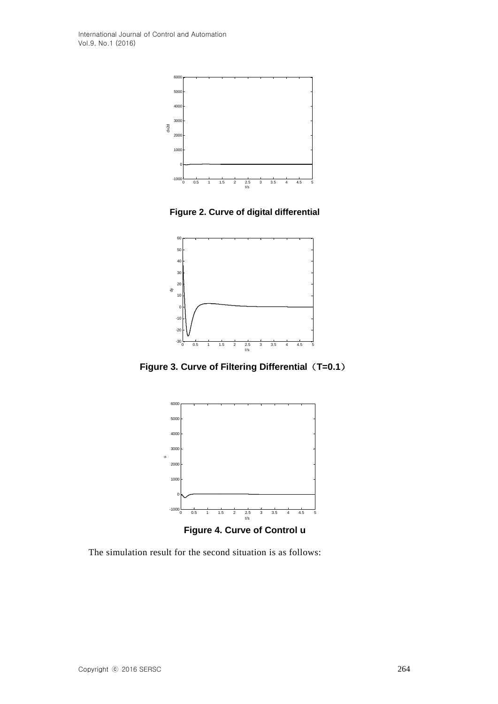

**Figure 2. Curve of digital differential**



**Figure 3. Curve of Filtering Differential**(**T=0.1**)



**Figure 4. Curve of Control u**

The simulation result for the second situation is as follows:

u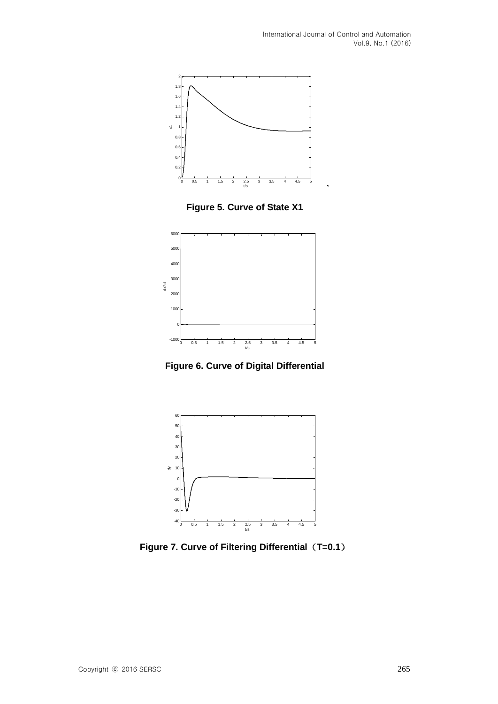'



**Figure 5. Curve of State X1**



**Figure 6. Curve of Digital Differential**



**Figure 7. Curve of Filtering Differential**(**T=0.1**)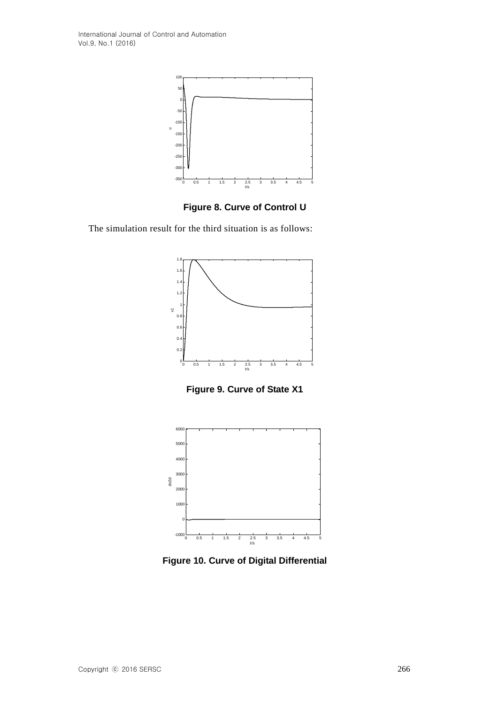

**Figure 8. Curve of Control U**

The simulation result for the third situation is as follows:



**Figure 9. Curve of State X1**



**Figure 10. Curve of Digital Differential**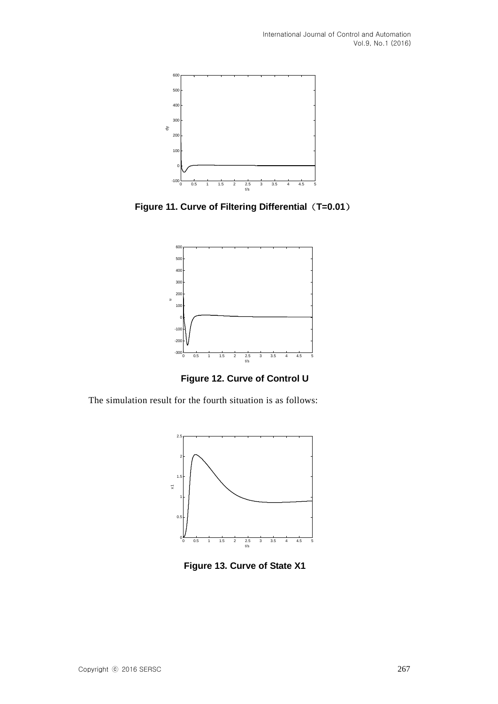

**Figure 11. Curve of Filtering Differential**(**T=0.01**)



**Figure 12. Curve of Control U**

The simulation result for the fourth situation is as follows:



**Figure 13. Curve of State X1**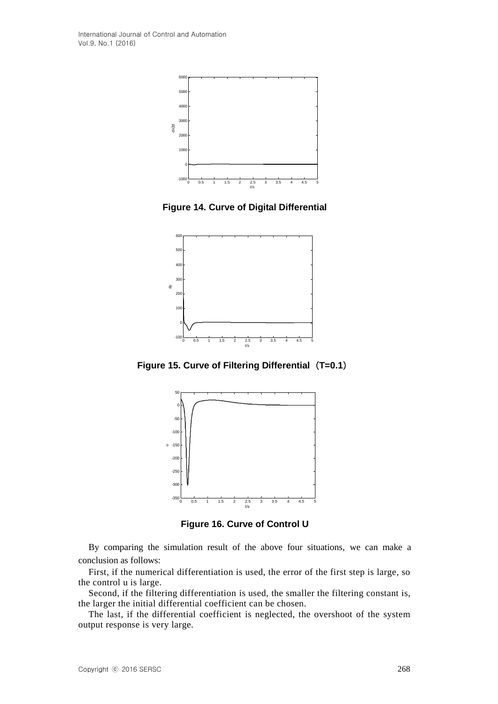International Journal of Control and Automation Vol.9, No.1 (2016)



**Figure 14. Curve of Digital Differential**



**Figure 15. Curve of Filtering Differential**(**T=0.1**)



**Figure 16. Curve of Control U**

By comparing the simulation result of the above four situations, we can make a conclusion as follows:

First, if the numerical differentiation is used, the error of the first step is large, so the control u is large.

Second, if the filtering differentiation is used, the smaller the filtering constant is, the larger the initial differential coefficient can be chosen.

The last, if the differential coefficient is neglected, the overshoot of the system output response is very large.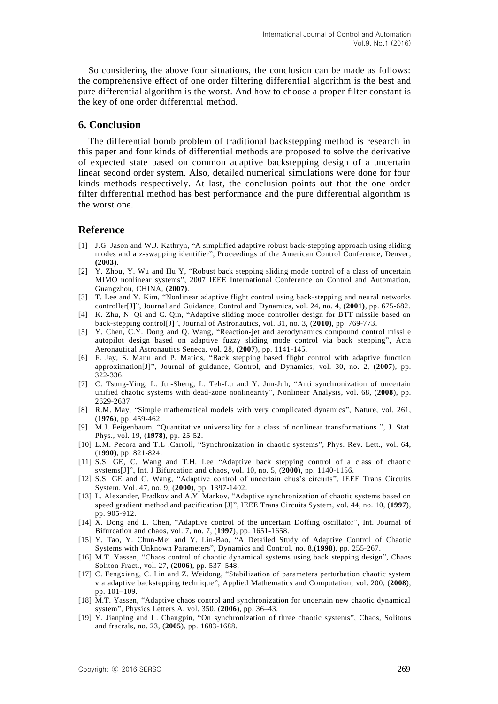So considering the above four situations, the conclusion can be made as follows: the comprehensive effect of one order filtering differential algorithm is the best and pure differential algorithm is the worst. And how to choose a proper filter constant is the key of one order differential method.

### **6. Conclusion**

The differential bomb problem of traditional backstepping method is research in this paper and four kinds of differential methods are proposed to solve the derivative of expected state based on common adaptive backstepping design of a uncertain linear second order system. Also, detailed numerical simulations were done for four kinds methods respectively. At last, the conclusion points out that the one order filter differential method has best performance and the pure differential algorithm is the worst one.

#### **Reference**

- [1] J.G. Jason and W.J. Kathryn, "A simplified adaptive robust back-stepping approach using sliding modes and a z-swapping identifier", Proceedings of the American Control Conference, Denver, **(2003)**.
- [2] Y. Zhou, Y. Wu and Hu Y, "Robust back stepping sliding mode control of a class of uncertain MIMO nonlinear systems", 2007 IEEE International Conference on Control and Automation, Guangzhou, CHINA, (**2007)**.
- [3] T. Lee and Y. Kim, "Nonlinear adaptive flight control using back-stepping and neural networks controller[J]", Journal and Guidance, Control and Dynamics, vol. 24, no. 4, (**2001)**, pp. 675-682.
- [4] K. Zhu, N. Qi and C. Qin, "Adaptive sliding mode controller design for BTT missile based on back-stepping control[J]", Journal of Astronautics, vol. 31, no. 3, (**2010)**, pp. 769-773.
- [5] Y. Chen, C.Y. Dong and Q. Wang, "Reaction-jet and aerodynamics compound control missile autopilot design based on adaptive fuzzy sliding mode control via back stepping", Acta Aeronautical Astronautics Seneca, vol. 28, (**2007**), pp. 1141-145.
- [6] F. Jay, S. Manu and P. Marios, "Back stepping based flight control with adaptive function approximation[J]", Journal of guidance, Control, and Dynamics, vol. 30, no. 2, (**2007**), pp. 322-336.
- [7] C. Tsung-Ying, L. Jui-Sheng, L. Teh-Lu and Y. Jun-Juh, "Anti synchronization of uncertain unified chaotic systems with dead-zone nonlinearity", Nonlinear Analysis, vol. 68, (**2008**), pp. 2629-2637
- [8] R.M. May, "Simple mathematical models with very complicated dynamics", Nature, vol. 261, (**1976)**, pp. 459-462.
- [9] M.J. Feigenbaum, "Quantitative universality for a class of nonlinear transformations ", J. Stat. Phys., vol. 19, (**1978)**, pp. 25-52.
- [10] L.M. Pecora and T.L .Carroll, "Synchronization in chaotic systems", Phys. Rev. Lett., vol. 64, (**1990**), pp. 821-824.
- [11] S.S. GE, C. Wang and T.H. Lee "Adaptive back stepping control of a class of chaotic systems[J]", Int. J Bifurcation and chaos, vol. 10, no. 5, (**2000**), pp. 1140-1156.
- [12] S.S. GE and C. Wang, "Adaptive control of uncertain chus's circuits", IEEE Trans Circuits System. Vol. 47, no. 9, (**2000**), pp. 1397-1402.
- [13] L. Alexander, Fradkov and A.Y. Markov, "Adaptive synchronization of chaotic systems based on speed gradient method and pacification [J]", IEEE Trans Circuits System, vol. 44, no. 10, (**1997**), pp. 905-912.
- [14] X. Dong and L. Chen, "Adaptive control of the uncertain Doffing oscillator", Int. Journal of Bifurcation and chaos, vol. 7, no. 7, (**1997**), pp. 1651-1658.
- [15] Y. Tao, Y. Chun-Mei and Y. Lin-Bao, "A Detailed Study of Adaptive Control of Chaotic Systems with Unknown Parameters", Dynamics and Control, no. 8,(**1998**), pp. 255-267.
- [16] M.T. Yassen, "Chaos control of chaotic dynamical systems using back stepping design", Chaos Soliton Fract., vol. 27, (**2006**), pp. 537–548.
- [17] C. Fengxiang, C. Lin and Z. Weidong, "Stabilization of parameters perturbation chaotic system via adaptive backstepping technique", Applied Mathematics and Computation, vol. 200, (**2008**), pp. 101–109.
- [18] M.T. Yassen, "Adaptive chaos control and synchronization for uncertain new chaotic dynamical system", Physics Letters A, vol. 350, (**2006**), pp. 36–43.
- [19] Y. Jianping and L. Changpin, "On synchronization of three chaotic systems", Chaos, Solitons and fracrals, no. 23, (**2005**), pp. 1683-1688.